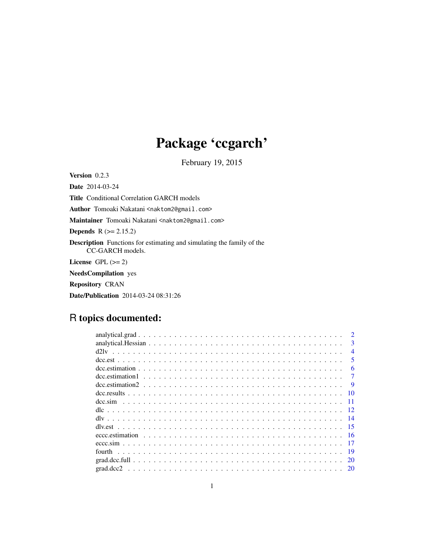# Package 'ccgarch'

February 19, 2015

Version 0.2.3 Date 2014-03-24 Title Conditional Correlation GARCH models Author Tomoaki Nakatani <naktom2@gmail.com> Maintainer Tomoaki Nakatani <naktom2@gmail.com> **Depends**  $R (= 2.15.2)$ Description Functions for estimating and simulating the family of the CC-GARCH models. License GPL  $(>= 2)$ NeedsCompilation yes Repository CRAN

# Date/Publication 2014-03-24 08:31:26

# R topics documented:

|                                                                                                                                                                                                                                                                                                                                                                         | $\mathcal{D}$            |
|-------------------------------------------------------------------------------------------------------------------------------------------------------------------------------------------------------------------------------------------------------------------------------------------------------------------------------------------------------------------------|--------------------------|
|                                                                                                                                                                                                                                                                                                                                                                         | 3                        |
|                                                                                                                                                                                                                                                                                                                                                                         | $\boldsymbol{\varDelta}$ |
|                                                                                                                                                                                                                                                                                                                                                                         | $\overline{\mathbf{5}}$  |
| $\alpha$ dcc. estimation $\alpha$ , $\beta$ , $\beta$ , $\beta$ , $\beta$ , $\beta$ , $\beta$ , $\beta$ , $\beta$ , $\beta$ , $\beta$ , $\beta$ , $\beta$ , $\beta$ , $\beta$ , $\beta$ , $\beta$ , $\beta$ , $\beta$ , $\beta$ , $\beta$ , $\beta$ , $\beta$ , $\beta$ , $\beta$ , $\beta$ , $\beta$ , $\beta$ , $\beta$ , $\beta$ , $\beta$ , $\beta$ , $\beta$ , $\$ | 6                        |
|                                                                                                                                                                                                                                                                                                                                                                         |                          |
|                                                                                                                                                                                                                                                                                                                                                                         | <b>Q</b>                 |
| - 10                                                                                                                                                                                                                                                                                                                                                                    |                          |
|                                                                                                                                                                                                                                                                                                                                                                         | -11                      |
|                                                                                                                                                                                                                                                                                                                                                                         | $\overline{12}$          |
|                                                                                                                                                                                                                                                                                                                                                                         |                          |
|                                                                                                                                                                                                                                                                                                                                                                         |                          |
|                                                                                                                                                                                                                                                                                                                                                                         |                          |
|                                                                                                                                                                                                                                                                                                                                                                         |                          |
|                                                                                                                                                                                                                                                                                                                                                                         | -19                      |
|                                                                                                                                                                                                                                                                                                                                                                         |                          |
|                                                                                                                                                                                                                                                                                                                                                                         |                          |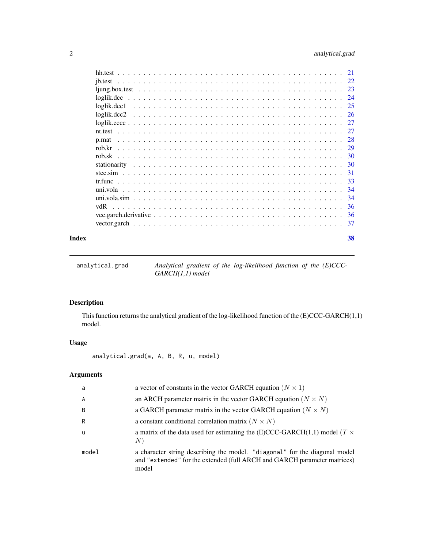# <span id="page-1-0"></span>2 analytical.grad

|                                               | 24 |
|-----------------------------------------------|----|
|                                               |    |
|                                               |    |
|                                               |    |
|                                               |    |
|                                               |    |
|                                               |    |
|                                               |    |
|                                               |    |
|                                               |    |
|                                               |    |
|                                               | 34 |
|                                               |    |
|                                               |    |
|                                               |    |
|                                               |    |
|                                               | 38 |
| ib.test<br>p.mat<br>rob.sk<br>stcc.sim<br>vdR |    |

```
analytical.grad Analytical gradient of the log-likelihood function of the (E)CCC-
                       GARCH(1,1) model
```
# Description

This function returns the analytical gradient of the log-likelihood function of the (E)CCC-GARCH(1,1) model.

# Usage

analytical.grad(a, A, B, R, u, model)

# Arguments

| a           | a vector of constants in the vector GARCH equation ( $N \times 1$ )                                                                                             |
|-------------|-----------------------------------------------------------------------------------------------------------------------------------------------------------------|
| A           | an ARCH parameter matrix in the vector GARCH equation ( $N \times N$ )                                                                                          |
| B           | a GARCH parameter matrix in the vector GARCH equation ( $N \times N$ )                                                                                          |
| R           | a constant conditional correlation matrix $(N \times N)$                                                                                                        |
| $\mathbf u$ | a matrix of the data used for estimating the (E)CCC-GARCH(1,1) model ( $T \times$<br>N)                                                                         |
| model       | a character string describing the model. "diagonal" for the diagonal model<br>and "extended" for the extended (full ARCH and GARCH parameter matrices)<br>model |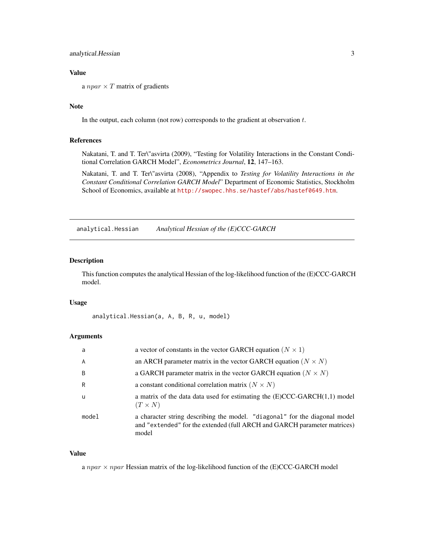# <span id="page-2-0"></span>Value

a  $npar \times T$  matrix of gradients

# Note

In the output, each column (not row) corresponds to the gradient at observation  $t$ .

#### References

Nakatani, T. and T. Ter\"asvirta (2009), "Testing for Volatility Interactions in the Constant Conditional Correlation GARCH Model", *Econometrics Journal*, 12, 147–163.

Nakatani, T. and T. Ter\"asvirta (2008), "Appendix to *Testing for Volatility Interactions in the Constant Conditional Correlation GARCH Model*" Department of Economic Statistics, Stockholm School of Economics, available at <http://swopec.hhs.se/hastef/abs/hastef0649.htm>.

analytical.Hessian *Analytical Hessian of the (E)CCC-GARCH*

# Description

This function computes the analytical Hessian of the log-likelihood function of the (E)CCC-GARCH model.

#### Usage

```
analytical.Hessian(a, A, B, R, u, model)
```
#### **Arguments**

| a     | a vector of constants in the vector GARCH equation ( $N \times 1$ )                                                                                             |
|-------|-----------------------------------------------------------------------------------------------------------------------------------------------------------------|
| A     | an ARCH parameter matrix in the vector GARCH equation ( $N \times N$ )                                                                                          |
| B     | a GARCH parameter matrix in the vector GARCH equation ( $N \times N$ )                                                                                          |
| R     | a constant conditional correlation matrix ( $N \times N$ )                                                                                                      |
| -u    | a matrix of the data data used for estimating the $(E)CCC-GARCH(1,1)$ model<br>$(T \times N)$                                                                   |
| model | a character string describing the model. "diagonal" for the diagonal model<br>and "extended" for the extended (full ARCH and GARCH parameter matrices)<br>model |

#### Value

a npar  $\times$  npar Hessian matrix of the log-likelihood function of the (E)CCC-GARCH model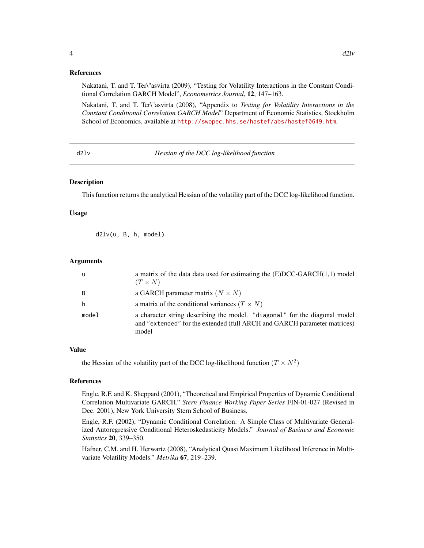# <span id="page-3-0"></span>References

Nakatani, T. and T. Ter\"asvirta (2009), "Testing for Volatility Interactions in the Constant Conditional Correlation GARCH Model", *Econometrics Journal*, 12, 147–163.

Nakatani, T. and T. Ter\"asvirta (2008), "Appendix to *Testing for Volatility Interactions in the Constant Conditional Correlation GARCH Model*" Department of Economic Statistics, Stockholm School of Economics, available at <http://swopec.hhs.se/hastef/abs/hastef0649.htm>.

d2lv *Hessian of the DCC log-likelihood function*

#### **Description**

This function returns the analytical Hessian of the volatility part of the DCC log-likelihood function.

#### Usage

d2lv(u, B, h, model)

#### Arguments

| u     | a matrix of the data data used for estimating the $(E)DCC-GARCH(1,1)$ model<br>$(T \times N)$                                                                   |
|-------|-----------------------------------------------------------------------------------------------------------------------------------------------------------------|
| B     | a GARCH parameter matrix $(N \times N)$                                                                                                                         |
| h     | a matrix of the conditional variances $(T \times N)$                                                                                                            |
| model | a character string describing the model. "diagonal" for the diagonal model<br>and "extended" for the extended (full ARCH and GARCH parameter matrices)<br>model |

#### Value

the Hessian of the volatility part of the DCC log-likelihood function  $(T \times N^2)$ 

#### References

Engle, R.F. and K. Sheppard (2001), "Theoretical and Empirical Properties of Dynamic Conditional Correlation Multivariate GARCH." *Stern Finance Working Paper Series* FIN-01-027 (Revised in Dec. 2001), New York University Stern School of Business.

Engle, R.F. (2002), "Dynamic Conditional Correlation: A Simple Class of Multivariate Generalized Autoregressive Conditional Heteroskedasticity Models." *Journal of Business and Economic Statistics* 20, 339–350.

Hafner, C.M. and H. Herwartz (2008), "Analytical Quasi Maximum Likelihood Inference in Multivariate Volatility Models." *Metrika* 67, 219–239.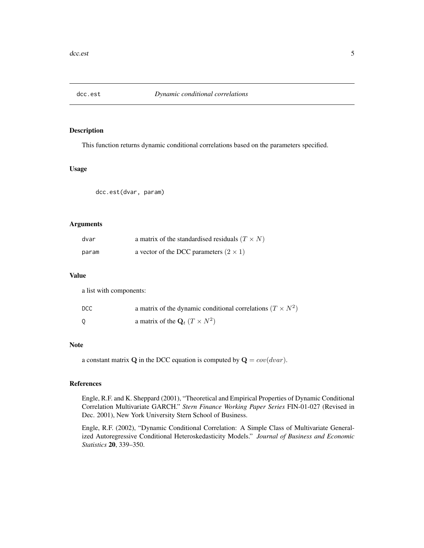<span id="page-4-0"></span>

This function returns dynamic conditional correlations based on the parameters specified.

# Usage

dcc.est(dvar, param)

# Arguments

| dvar  | a matrix of the standardised residuals $(T \times N)$ |
|-------|-------------------------------------------------------|
| param | a vector of the DCC parameters $(2 \times 1)$         |

#### Value

a list with components:

| <b>DCC</b> | a matrix of the dynamic conditional correlations $(T \times N^2)$ |
|------------|-------------------------------------------------------------------|
|            | a matrix of the $\mathbf{Q}_t$ $(T \times N^2)$                   |

#### Note

a constant matrix **Q** in the DCC equation is computed by  $\mathbf{Q} = cov(dvar)$ .

# References

Engle, R.F. and K. Sheppard (2001), "Theoretical and Empirical Properties of Dynamic Conditional Correlation Multivariate GARCH." *Stern Finance Working Paper Series* FIN-01-027 (Revised in Dec. 2001), New York University Stern School of Business.

Engle, R.F. (2002), "Dynamic Conditional Correlation: A Simple Class of Multivariate Generalized Autoregressive Conditional Heteroskedasticity Models." *Journal of Business and Economic Statistics* 20, 339–350.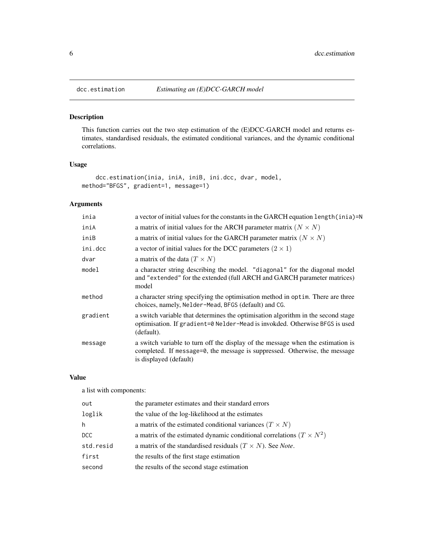<span id="page-5-1"></span><span id="page-5-0"></span>

This function carries out the two step estimation of the (E)DCC-GARCH model and returns estimates, standardised residuals, the estimated conditional variances, and the dynamic conditional correlations.

# Usage

```
dcc.estimation(inia, iniA, iniB, ini.dcc, dvar, model,
method="BFGS", gradient=1, message=1)
```
# Arguments

| a vector of initial values for the constants in the GARCH equation length (inia)=N                                                                                                      |
|-----------------------------------------------------------------------------------------------------------------------------------------------------------------------------------------|
| a matrix of initial values for the ARCH parameter matrix ( $N \times N$ )                                                                                                               |
| a matrix of initial values for the GARCH parameter matrix ( $N \times N$ )                                                                                                              |
| a vector of initial values for the DCC parameters $(2 \times 1)$                                                                                                                        |
| a matrix of the data $(T \times N)$                                                                                                                                                     |
| a character string describing the model. "diagonal" for the diagonal model<br>and "extended" for the extended (full ARCH and GARCH parameter matrices)<br>model                         |
| a character string specifying the optimisation method in optim. There are three<br>choices, namely, Nelder-Mead, BFGS (default) and CG.                                                 |
| a switch variable that determines the optimisation algorithm in the second stage<br>optimisation. If gradient=0 Nelder-Mead is invokded. Otherwise BFGS is used<br>(default).           |
| a switch variable to turn off the display of the message when the estimation is<br>completed. If message=0, the message is suppressed. Otherwise, the message<br>is displayed (default) |
|                                                                                                                                                                                         |

# Value

a list with components:

| out       | the parameter estimates and their standard errors                           |
|-----------|-----------------------------------------------------------------------------|
| loglik    | the value of the log-likelihood at the estimates                            |
| h         | a matrix of the estimated conditional variances $(T \times N)$              |
| DCC.      | a matrix of the estimated dynamic conditional correlations $(T \times N^2)$ |
| std.resid | a matrix of the standardised residuals $(T \times N)$ . See Note.           |
| first     | the results of the first stage estimation                                   |
| second    | the results of the second stage estimation                                  |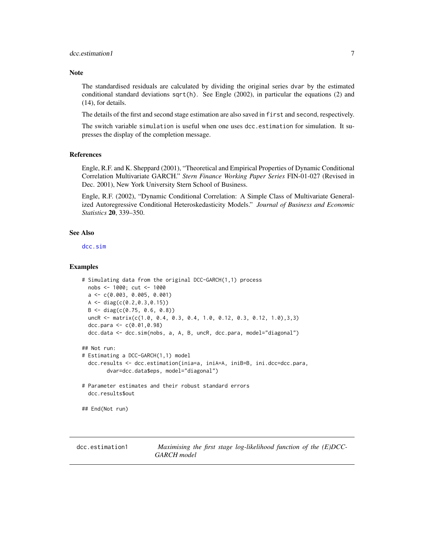#### <span id="page-6-0"></span>**Note**

The standardised residuals are calculated by dividing the original series dvar by the estimated conditional standard deviations  $sqrt(h)$ . See Engle (2002), in particular the equations (2) and (14), for details.

The details of the first and second stage estimation are also saved in first and second, respectively.

The switch variable simulation is useful when one uses dcc.estimation for simulation. It supresses the display of the completion message.

#### References

Engle, R.F. and K. Sheppard (2001), "Theoretical and Empirical Properties of Dynamic Conditional Correlation Multivariate GARCH." *Stern Finance Working Paper Series* FIN-01-027 (Revised in Dec. 2001), New York University Stern School of Business.

Engle, R.F. (2002), "Dynamic Conditional Correlation: A Simple Class of Multivariate Generalized Autoregressive Conditional Heteroskedasticity Models." *Journal of Business and Economic Statistics* 20, 339–350.

# See Also

[dcc.sim](#page-10-1)

### Examples

```
# Simulating data from the original DCC-GARCH(1,1) process
 nobs <- 1000; cut <- 1000
 a <- c(0.003, 0.005, 0.001)
 A <- diag(c(0.2,0.3,0.15))
 B \le - \text{diag}(c(0.75, 0.6, 0.8))uncR <- matrix(c(1.0, 0.4, 0.3, 0.4, 1.0, 0.12, 0.3, 0.12, 1.0),3,3)
 dcc.para <- c(0.01,0.98)
 dcc.data <- dcc.sim(nobs, a, A, B, uncR, dcc.para, model="diagonal")
## Not run:
# Estimating a DCC-GARCH(1,1) model
 dcc.results <- dcc.estimation(inia=a, iniA=A, iniB=B, ini.dcc=dcc.para,
        dvar=dcc.data$eps, model="diagonal")
# Parameter estimates and their robust standard errors
 dcc.results$out
## End(Not run)
```
<span id="page-6-1"></span>dcc.estimation1 *Maximising the first stage log-likelihood function of the (E)DCC-GARCH model*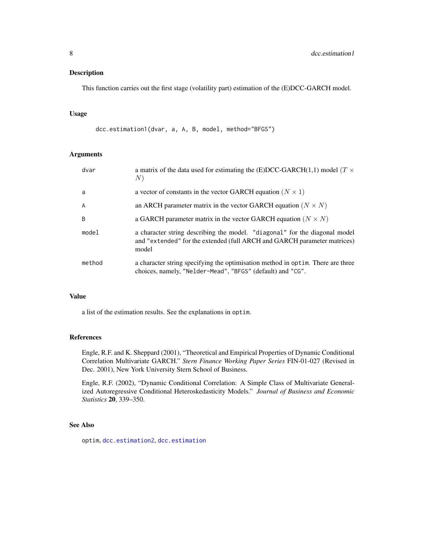<span id="page-7-0"></span>This function carries out the first stage (volatility part) estimation of the (E)DCC-GARCH model.

# Usage

```
dcc.estimation1(dvar, a, A, B, model, method="BFGS")
```
# Arguments

| dvar   | a matrix of the data used for estimating the (E)DCC-GARCH(1,1) model ( $T \times$<br>N)                                                                         |
|--------|-----------------------------------------------------------------------------------------------------------------------------------------------------------------|
| a      | a vector of constants in the vector GARCH equation ( $N \times 1$ )                                                                                             |
| A      | an ARCH parameter matrix in the vector GARCH equation ( $N \times N$ )                                                                                          |
| B      | a GARCH parameter matrix in the vector GARCH equation ( $N \times N$ )                                                                                          |
| model  | a character string describing the model. "diagonal" for the diagonal model<br>and "extended" for the extended (full ARCH and GARCH parameter matrices)<br>model |
| method | a character string specifying the optimisation method in optim. There are three<br>choices, namely, "Nelder-Mead", "BFGS" (default) and "CG".                   |

# Value

a list of the estimation results. See the explanations in optim.

#### References

Engle, R.F. and K. Sheppard (2001), "Theoretical and Empirical Properties of Dynamic Conditional Correlation Multivariate GARCH." *Stern Finance Working Paper Series* FIN-01-027 (Revised in Dec. 2001), New York University Stern School of Business.

Engle, R.F. (2002), "Dynamic Conditional Correlation: A Simple Class of Multivariate Generalized Autoregressive Conditional Heteroskedasticity Models." *Journal of Business and Economic Statistics* 20, 339–350.

# See Also

optim, [dcc.estimation2](#page-8-1), [dcc.estimation](#page-5-1)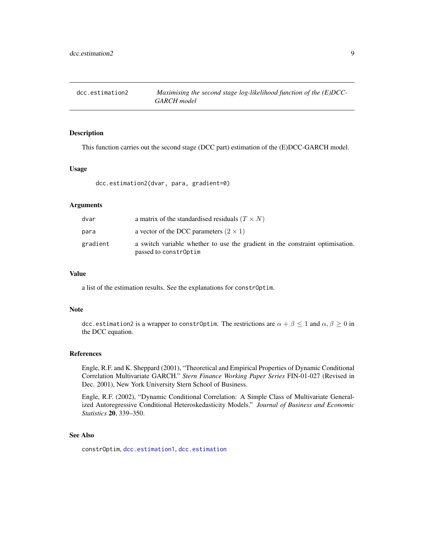<span id="page-8-1"></span><span id="page-8-0"></span>

This function carries out the second stage (DCC part) estimation of the (E)DCC-GARCH model.

#### Usage

dcc.estimation2(dvar, para, gradient=0)

# Arguments

| dvar     | a matrix of the standardised residuals $(T \times N)$                                                  |
|----------|--------------------------------------------------------------------------------------------------------|
| para     | a vector of the DCC parameters $(2 \times 1)$                                                          |
| gradient | a switch variable whether to use the gradient in the constraint optimisation.<br>passed to constr0ptim |

#### Value

a list of the estimation results. See the explanations for constrOptim.

### Note

dcc.estimation2 is a wrapper to constr0ptim. The restrictions are  $\alpha + \beta \leq 1$  and  $\alpha, \beta \geq 0$  in the DCC equation.

# References

Engle, R.F. and K. Sheppard (2001), "Theoretical and Empirical Properties of Dynamic Conditional Correlation Multivariate GARCH." *Stern Finance Working Paper Series* FIN-01-027 (Revised in Dec. 2001), New York University Stern School of Business.

Engle, R.F. (2002), "Dynamic Conditional Correlation: A Simple Class of Multivariate Generalized Autoregressive Conditional Heteroskedasticity Models." *Journal of Business and Economic Statistics* 20, 339–350.

#### See Also

constrOptim, [dcc.estimation1](#page-6-1), [dcc.estimation](#page-5-1)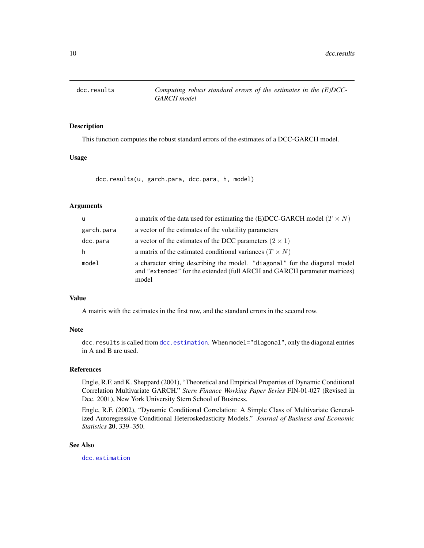<span id="page-9-0"></span>

This function computes the robust standard errors of the estimates of a DCC-GARCH model.

#### Usage

dcc.results(u, garch.para, dcc.para, h, model)

# Arguments

| u          | a matrix of the data used for estimating the (E)DCC-GARCH model ( $T \times N$ )                                                                                |
|------------|-----------------------------------------------------------------------------------------------------------------------------------------------------------------|
| garch.para | a vector of the estimates of the volatility parameters                                                                                                          |
| dcc.para   | a vector of the estimates of the DCC parameters $(2 \times 1)$                                                                                                  |
| h.         | a matrix of the estimated conditional variances $(T \times N)$                                                                                                  |
| model      | a character string describing the model. "diagonal" for the diagonal model<br>and "extended" for the extended (full ARCH and GARCH parameter matrices)<br>model |

#### Value

A matrix with the estimates in the first row, and the standard errors in the second row.

#### Note

dcc.results is called from [dcc.estimation](#page-5-1). When model="diagonal", only the diagonal entries in A and B are used.

# References

Engle, R.F. and K. Sheppard (2001), "Theoretical and Empirical Properties of Dynamic Conditional Correlation Multivariate GARCH." *Stern Finance Working Paper Series* FIN-01-027 (Revised in Dec. 2001), New York University Stern School of Business.

Engle, R.F. (2002), "Dynamic Conditional Correlation: A Simple Class of Multivariate Generalized Autoregressive Conditional Heteroskedasticity Models." *Journal of Business and Economic Statistics* 20, 339–350.

# See Also

[dcc.estimation](#page-5-1)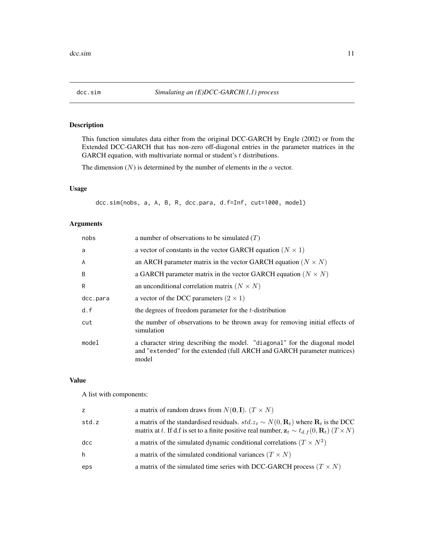<span id="page-10-1"></span><span id="page-10-0"></span>This function simulates data either from the original DCC-GARCH by Engle (2002) or from the Extended DCC-GARCH that has non-zero off-diagonal entries in the parameter matrices in the GARCH equation, with multivariate normal or student's  $t$  distributions.

The dimension  $(N)$  is determined by the number of elements in the  $a$  vector.

# Usage

dcc.sim(nobs, a, A, B, R, dcc.para, d.f=Inf, cut=1000, model)

# Arguments

| nobs           | a number of observations to be simulated $(T)$                                                                                                                  |  |
|----------------|-----------------------------------------------------------------------------------------------------------------------------------------------------------------|--|
| a              | a vector of constants in the vector GARCH equation ( $N \times 1$ )                                                                                             |  |
| $\overline{A}$ | an ARCH parameter matrix in the vector GARCH equation ( $N \times N$ )                                                                                          |  |
| B              | a GARCH parameter matrix in the vector GARCH equation ( $N \times N$ )                                                                                          |  |
| R              | an unconditional correlation matrix $(N \times N)$                                                                                                              |  |
| dcc.para       | a vector of the DCC parameters $(2 \times 1)$                                                                                                                   |  |
| d.f            | the degrees of freedom parameter for the <i>t</i> -distribution                                                                                                 |  |
| cut            | the number of observations to be thrown away for removing initial effects of<br>simulation                                                                      |  |
| model          | a character string describing the model. "diagonal" for the diagonal model<br>and "extended" for the extended (full ARCH and GARCH parameter matrices)<br>model |  |

# Value

A list with components:

| z     | a matrix of random draws from $N(\mathbf{0}, \mathbf{I})$ . $(T \times N)$                                                                                                                                                   |
|-------|------------------------------------------------------------------------------------------------------------------------------------------------------------------------------------------------------------------------------|
| std.z | a matrix of the standardised residuals. $std.z_t \sim N(0, \mathbf{R}_t)$ where $\mathbf{R}_t$ is the DCC<br>matrix at t. If d.f is set to a finite positive real number, $z_t \sim t_{d,f}(0, \mathbf{R}_t)$ $(T \times N)$ |
| dcc   | a matrix of the simulated dynamic conditional correlations ( $T \times N^2$ )                                                                                                                                                |
| h     | a matrix of the simulated conditional variances ( $T \times N$ )                                                                                                                                                             |
| eps   | a matrix of the simulated time series with DCC-GARCH process ( $T \times N$ )                                                                                                                                                |
|       |                                                                                                                                                                                                                              |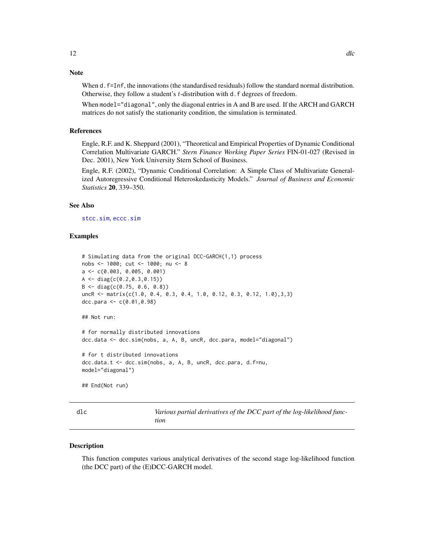# <span id="page-11-0"></span>Note

When d. f=Inf, the innovations (the standardised residuals) follow the standard normal distribution. Otherwise, they follow a student's *t*-distribution with d.f degrees of freedom.

When model="diagonal", only the diagonal entries in A and B are used. If the ARCH and GARCH matrices do not satisfy the stationarity condition, the simulation is terminated.

#### References

Engle, R.F. and K. Sheppard (2001), "Theoretical and Empirical Properties of Dynamic Conditional Correlation Multivariate GARCH." *Stern Finance Working Paper Series* FIN-01-027 (Revised in Dec. 2001), New York University Stern School of Business.

Engle, R.F. (2002), "Dynamic Conditional Correlation: A Simple Class of Multivariate Generalized Autoregressive Conditional Heteroskedasticity Models." *Journal of Business and Economic Statistics* 20, 339–350.

#### See Also

[stcc.sim](#page-30-1), [eccc.sim](#page-16-1)

#### Examples

```
# Simulating data from the original DCC-GARCH(1,1) process
nobs <- 1000; cut <- 1000; nu <- 8
a <- c(0.003, 0.005, 0.001)
A \leftarrow diag(c(0.2, 0.3, 0.15))B \le - diag(c(0.75, 0.6, 0.8))
uncR <- matrix(c(1.0, 0.4, 0.3, 0.4, 1.0, 0.12, 0.3, 0.12, 1.0),3,3)
dcc.para <- c(0.01,0.98)
## Not run:
# for normally distributed innovations
dcc.data <- dcc.sim(nobs, a, A, B, uncR, dcc.para, model="diagonal")
# for t distributed innovations
dcc.data.t <- dcc.sim(nobs, a, A, B, uncR, dcc.para, d.f=nu,
model="diagonal")
## End(Not run)
```
<span id="page-11-1"></span>dlc *Various partial derivatives of the DCC part of the log-likelihood function*

#### Description

This function computes various analytical derivatives of the second stage log-likelihood function (the DCC part) of the (E)DCC-GARCH model.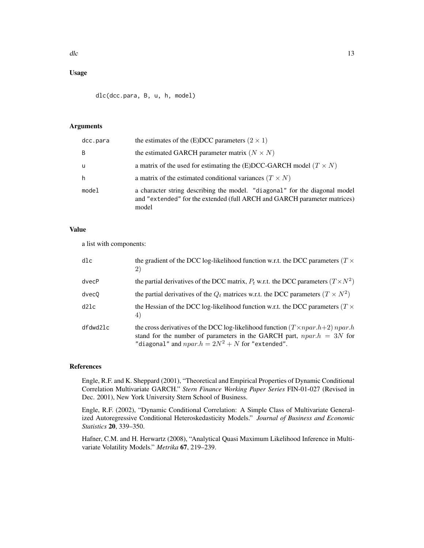# Usage

dlc(dcc.para, B, u, h, model)

# Arguments

| dcc.para | the estimates of the (E)DCC parameters $(2 \times 1)$                                                                                                           |
|----------|-----------------------------------------------------------------------------------------------------------------------------------------------------------------|
| B        | the estimated GARCH parameter matrix $(N \times N)$                                                                                                             |
| u        | a matrix of the used for estimating the (E)DCC-GARCH model ( $T \times N$ )                                                                                     |
| h        | a matrix of the estimated conditional variances $(T \times N)$                                                                                                  |
| model    | a character string describing the model. "diagonal" for the diagonal model<br>and "extended" for the extended (full ARCH and GARCH parameter matrices)<br>model |

# Value

a list with components:

| dlc      | the gradient of the DCC log-likelihood function w.r.t. the DCC parameters ( $T \times$<br>2)                                                                                                                           |
|----------|------------------------------------------------------------------------------------------------------------------------------------------------------------------------------------------------------------------------|
| dvecP    | the partial derivatives of the DCC matrix, $P_t$ w.r.t. the DCC parameters $(T \times N^2)$                                                                                                                            |
| dvec0    | the partial derivatives of the $Q_t$ matrices w.r.t. the DCC parameters $(T \times N^2)$                                                                                                                               |
| d21c     | the Hessian of the DCC log-likelihood function w.r.t. the DCC parameters ( $T \times$<br>4                                                                                                                             |
| dfdwd2lc | the cross derivatives of the DCC log-likelihood function $(T \times npar.h+2)$ npar.h<br>stand for the number of parameters in the GARCH part, $npar.h = 3N$ for<br>"diagonal" and $npar.h = 2N^2 + N$ for "extended". |

# References

Engle, R.F. and K. Sheppard (2001), "Theoretical and Empirical Properties of Dynamic Conditional Correlation Multivariate GARCH." *Stern Finance Working Paper Series* FIN-01-027 (Revised in Dec. 2001), New York University Stern School of Business.

Engle, R.F. (2002), "Dynamic Conditional Correlation: A Simple Class of Multivariate Generalized Autoregressive Conditional Heteroskedasticity Models." *Journal of Business and Economic Statistics* 20, 339–350.

Hafner, C.M. and H. Herwartz (2008), "Analytical Quasi Maximum Likelihood Inference in Multivariate Volatility Models." *Metrika* 67, 219–239.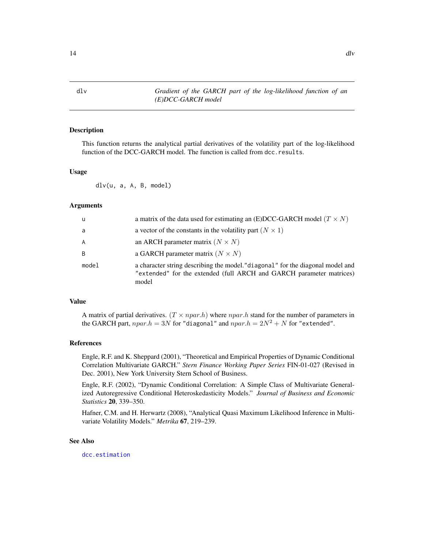<span id="page-13-1"></span><span id="page-13-0"></span>

This function returns the analytical partial derivatives of the volatility part of the log-likelihood function of the DCC-GARCH model. The function is called from dcc.results.

#### Usage

dlv(u, a, A, B, model)

# Arguments

| u     | a matrix of the data used for estimating an (E)DCC-GARCH model ( $T \times N$ )                                                                                 |
|-------|-----------------------------------------------------------------------------------------------------------------------------------------------------------------|
| a     | a vector of the constants in the volatility part ( $N \times 1$ )                                                                                               |
| A     | an ARCH parameter matrix $(N \times N)$                                                                                                                         |
| B     | a GARCH parameter matrix $(N \times N)$                                                                                                                         |
| model | a character string describing the model." diagonal" for the diagonal model and<br>"extended" for the extended (full ARCH and GARCH parameter matrices)<br>model |

# Value

A matrix of partial derivatives.  $(T \times npar.h)$  where  $npar.h$  stand for the number of parameters in the GARCH part,  $npar.h = 3N$  for "diagonal" and  $npar.h = 2N^2 + N$  for "extended".

#### References

Engle, R.F. and K. Sheppard (2001), "Theoretical and Empirical Properties of Dynamic Conditional Correlation Multivariate GARCH." *Stern Finance Working Paper Series* FIN-01-027 (Revised in Dec. 2001), New York University Stern School of Business.

Engle, R.F. (2002), "Dynamic Conditional Correlation: A Simple Class of Multivariate Generalized Autoregressive Conditional Heteroskedasticity Models." *Journal of Business and Economic Statistics* 20, 339–350.

Hafner, C.M. and H. Herwartz (2008), "Analytical Quasi Maximum Likelihood Inference in Multivariate Volatility Models." *Metrika* 67, 219–239.

# See Also

[dcc.estimation](#page-5-1)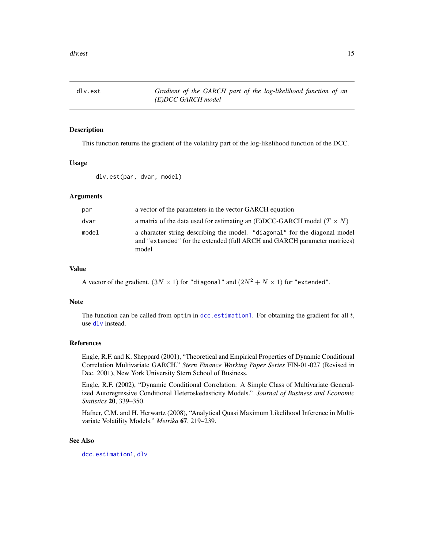<span id="page-14-0"></span>

This function returns the gradient of the volatility part of the log-likelihood function of the DCC.

#### Usage

```
dlv.est(par, dvar, model)
```
#### **Arguments**

| par   | a vector of the parameters in the vector GARCH equation                                                                                                         |
|-------|-----------------------------------------------------------------------------------------------------------------------------------------------------------------|
| dvar  | a matrix of the data used for estimating an (E)DCC-GARCH model ( $T \times N$ )                                                                                 |
| model | a character string describing the model. "diagonal" for the diagonal model<br>and "extended" for the extended (full ARCH and GARCH parameter matrices)<br>model |

#### Value

A vector of the gradient.  $(3N \times 1)$  for "diagonal" and  $(2N^2 + N \times 1)$  for "extended".

#### Note

The function can be called from optim in dcc. estimation1. For obtaining the gradient for all  $t$ , use [dlv](#page-13-1) instead.

#### References

Engle, R.F. and K. Sheppard (2001), "Theoretical and Empirical Properties of Dynamic Conditional Correlation Multivariate GARCH." *Stern Finance Working Paper Series* FIN-01-027 (Revised in Dec. 2001), New York University Stern School of Business.

Engle, R.F. (2002), "Dynamic Conditional Correlation: A Simple Class of Multivariate Generalized Autoregressive Conditional Heteroskedasticity Models." *Journal of Business and Economic Statistics* 20, 339–350.

Hafner, C.M. and H. Herwartz (2008), "Analytical Quasi Maximum Likelihood Inference in Multivariate Volatility Models." *Metrika* 67, 219–239.

# See Also

[dcc.estimation1](#page-6-1), [dlv](#page-13-1)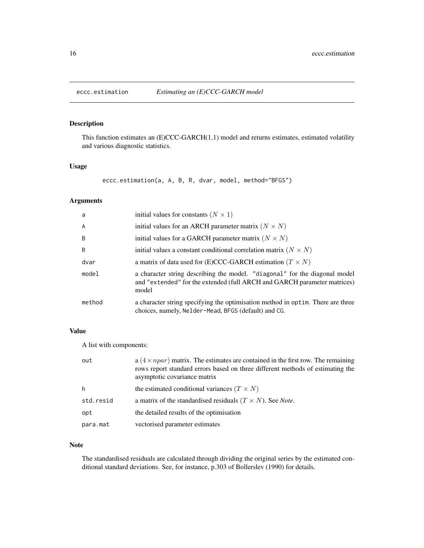<span id="page-15-0"></span>

This function estimates an (E)CCC-GARCH(1,1) model and returns estimates, estimated volatility and various diagnostic statistics.

#### Usage

eccc.estimation(a, A, B, R, dvar, model, method="BFGS")

#### Arguments

| a,             | initial values for constants ( $N \times 1$ )                                                                                                                   |
|----------------|-----------------------------------------------------------------------------------------------------------------------------------------------------------------|
| $\overline{A}$ | initial values for an ARCH parameter matrix ( $N \times N$ )                                                                                                    |
| B              | initial values for a GARCH parameter matrix ( $N \times N$ )                                                                                                    |
| R              | initial values a constant conditional correlation matrix ( $N \times N$ )                                                                                       |
| dvar           | a matrix of data used for (E)CCC-GARCH estimation ( $T \times N$ )                                                                                              |
| model          | a character string describing the model. "diagonal" for the diagonal model<br>and "extended" for the extended (full ARCH and GARCH parameter matrices)<br>model |
| method         | a character string specifying the optimisation method in optim. There are three<br>choices, namely, Nelder-Mead, BFGS (default) and CG.                         |

# Value

A list with components:

| out       | a $(4 \times npar)$ matrix. The estimates are contained in the first row. The remaining<br>rows report standard errors based on three different methods of estimating the<br>asymptotic covariance matrix |
|-----------|-----------------------------------------------------------------------------------------------------------------------------------------------------------------------------------------------------------|
| h         | the estimated conditional variances $(T \times N)$                                                                                                                                                        |
| std.resid | a matrix of the standardised residuals $(T \times N)$ . See Note.                                                                                                                                         |
| opt       | the detailed results of the optimisation                                                                                                                                                                  |
| para.mat  | vectorised parameter estimates                                                                                                                                                                            |

# Note

The standardised residuals are calculated through dividing the original series by the estimated conditional standard deviations. See, for instance, p.303 of Bollerslev (1990) for details.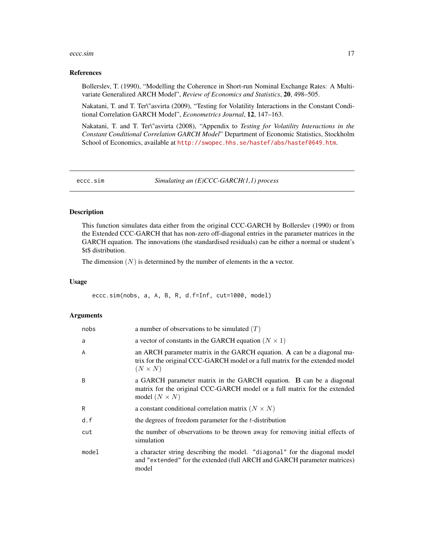#### <span id="page-16-0"></span>eccc.sim and the contract of the contract of the contract of the contract of the contract of the contract of the contract of the contract of the contract of the contract of the contract of the contract of the contract of t

#### References

Bollerslev, T. (1990), "Modelling the Coherence in Short-run Nominal Exchange Rates: A Multivariate Generalized ARCH Model", *Review of Economics and Statistics*, 20, 498–505.

Nakatani, T. and T. Ter\"asvirta (2009), "Testing for Volatility Interactions in the Constant Conditional Correlation GARCH Model", *Econometrics Journal*, 12, 147–163.

Nakatani, T. and T. Ter\"asvirta (2008), "Appendix to *Testing for Volatility Interactions in the Constant Conditional Correlation GARCH Model*" Department of Economic Statistics, Stockholm School of Economics, available at <http://swopec.hhs.se/hastef/abs/hastef0649.htm>.

<span id="page-16-1"></span>eccc.sim *Simulating an (E)CCC-GARCH(1,1) process*

#### Description

This function simulates data either from the original CCC-GARCH by Bollerslev (1990) or from the Extended CCC-GARCH that has non-zero off-diagonal entries in the parameter matrices in the GARCH equation. The innovations (the standardised residuals) can be either a normal or student's \$t\$ distribution.

The dimension  $(N)$  is determined by the number of elements in the a vector.

#### Usage

eccc.sim(nobs, a, A, B, R, d.f=Inf, cut=1000, model)

#### Arguments

| nobs  | a number of observations to be simulated $(T)$                                                                                                                             |
|-------|----------------------------------------------------------------------------------------------------------------------------------------------------------------------------|
| a     | a vector of constants in the GARCH equation ( $N \times 1$ )                                                                                                               |
| A     | an ARCH parameter matrix in the GARCH equation. A can be a diagonal ma-<br>trix for the original CCC-GARCH model or a full matrix for the extended model<br>$(N \times N)$ |
| B     | a GARCH parameter matrix in the GARCH equation. B can be a diagonal<br>matrix for the original CCC-GARCH model or a full matrix for the extended<br>model $(N \times N)$   |
| R     | a constant conditional correlation matrix ( $N \times N$ )                                                                                                                 |
| d.f   | the degrees of freedom parameter for the <i>t</i> -distribution                                                                                                            |
| cut   | the number of observations to be thrown away for removing initial effects of<br>simulation                                                                                 |
| model | a character string describing the model. "diagonal" for the diagonal model<br>and "extended" for the extended (full ARCH and GARCH parameter matrices)<br>model            |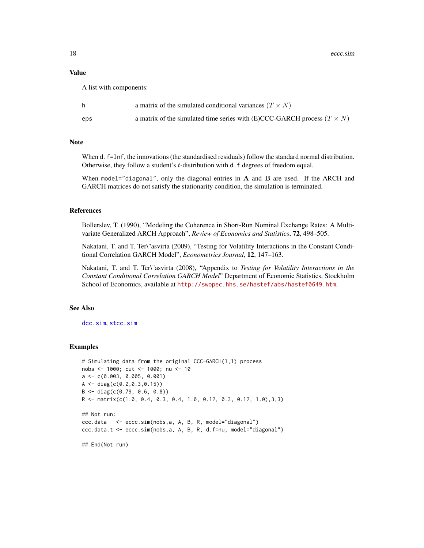#### <span id="page-17-0"></span>Value

A list with components:

|     | a matrix of the simulated conditional variances $(T \times N)$                   |
|-----|----------------------------------------------------------------------------------|
| eps | a matrix of the simulated time series with (E)CCC-GARCH process ( $T \times N$ ) |

#### Note

When d.  $f=Inf$ , the innovations (the standardised residuals) follow the standard normal distribution. Otherwise, they follow a student's *t*-distribution with d. f degrees of freedom equal.

When model="diagonal", only the diagonal entries in  $A$  and  $B$  are used. If the ARCH and GARCH matrices do not satisfy the stationarity condition, the simulation is terminated.

# References

Bollerslev, T. (1990), "Modeling the Coherence in Short-Run Nominal Exchange Rates: A Multivariate Generalized ARCH Approach", *Review of Economics and Statistics*, 72, 498–505.

Nakatani, T. and T. Ter\"asvirta (2009), "Testing for Volatility Interactions in the Constant Conditional Correlation GARCH Model", *Econometrics Journal*, 12, 147–163.

Nakatani, T. and T. Ter\"asvirta (2008), "Appendix to *Testing for Volatility Interactions in the Constant Conditional Correlation GARCH Model*" Department of Economic Statistics, Stockholm School of Economics, available at <http://swopec.hhs.se/hastef/abs/hastef0649.htm>.

#### See Also

[dcc.sim](#page-10-1), [stcc.sim](#page-30-1)

```
# Simulating data from the original CCC-GARCH(1,1) process
nobs <- 1000; cut <- 1000; nu <- 10
a <- c(0.003, 0.005, 0.001)
A \leftarrow diag(c(0.2, 0.3, 0.15))B <- diag(c(0.79, 0.6, 0.8))
R <- matrix(c(1.0, 0.4, 0.3, 0.4, 1.0, 0.12, 0.3, 0.12, 1.0),3,3)
## Not run:
ccc.data <- eccc.sim(nobs,a, A, B, R, model="diagonal")
ccc.data.t <- eccc.sim(nobs,a, A, B, R, d.f=nu, model="diagonal")
## End(Not run)
```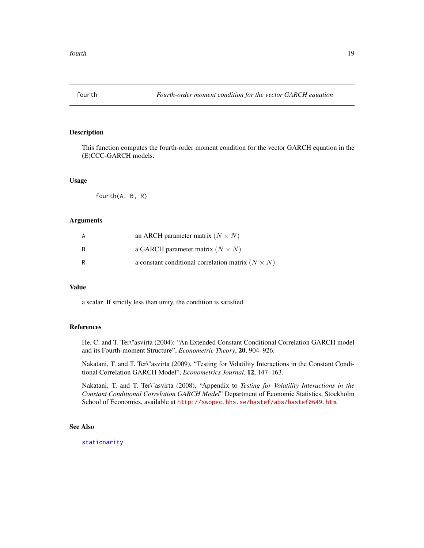<span id="page-18-1"></span><span id="page-18-0"></span>

This function computes the fourth-order moment condition for the vector GARCH equation in the (E)CCC-GARCH models.

#### Usage

fourth(A, B, R)

# Arguments

| A | an ARCH parameter matrix $(N \times N)$                    |
|---|------------------------------------------------------------|
| B | a GARCH parameter matrix ( $N \times N$ )                  |
| R | a constant conditional correlation matrix ( $N \times N$ ) |

#### Value

a scalar. If strictly less than unity, the condition is satisfied.

# References

He, C. and T. Ter\"asvirta (2004): "An Extended Constant Conditional Correlation GARCH model and its Fourth-moment Structure", *Econometric Theory*, 20, 904–926.

Nakatani, T. and T. Ter\"asvirta (2009), "Testing for Volatility Interactions in the Constant Conditional Correlation GARCH Model", *Econometrics Journal*, 12, 147–163.

Nakatani, T. and T. Ter\"asvirta (2008), "Appendix to *Testing for Volatility Interactions in the Constant Conditional Correlation GARCH Model*" Department of Economic Statistics, Stockholm School of Economics, available at <http://swopec.hhs.se/hastef/abs/hastef0649.htm>.

# See Also

[stationarity](#page-29-1)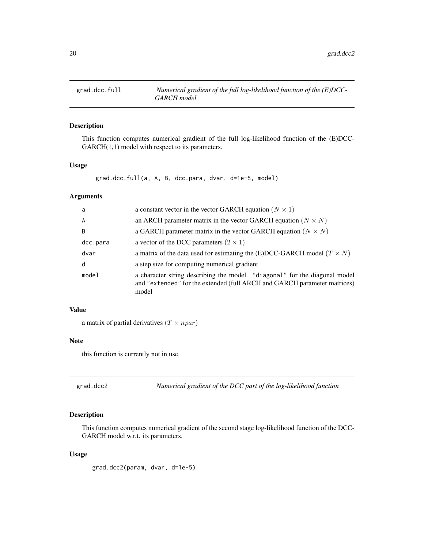<span id="page-19-0"></span>

This function computes numerical gradient of the full log-likelihood function of the (E)DCC-GARCH(1,1) model with respect to its parameters.

#### Usage

```
grad.dcc.full(a, A, B, dcc.para, dvar, d=1e-5, model)
```
#### Arguments

| a            | a constant vector in the vector GARCH equation ( $N \times 1$ )                                                                                                 |  |
|--------------|-----------------------------------------------------------------------------------------------------------------------------------------------------------------|--|
| $\mathsf{A}$ | an ARCH parameter matrix in the vector GARCH equation ( $N \times N$ )                                                                                          |  |
| <sub>B</sub> | a GARCH parameter matrix in the vector GARCH equation ( $N \times N$ )                                                                                          |  |
| dcc.para     | a vector of the DCC parameters $(2 \times 1)$                                                                                                                   |  |
| dvar         | a matrix of the data used for estimating the (E)DCC-GARCH model ( $T \times N$ )                                                                                |  |
| d            | a step size for computing numerical gradient                                                                                                                    |  |
| model        | a character string describing the model. "diagonal" for the diagonal model<br>and "extended" for the extended (full ARCH and GARCH parameter matrices)<br>model |  |

# Value

a matrix of partial derivatives  $(T \times npar)$ 

#### Note

this function is currently not in use.

grad.dcc2 *Numerical gradient of the DCC part of the log-likelihood function*

# Description

This function computes numerical gradient of the second stage log-likelihood function of the DCC-GARCH model w.r.t. its parameters.

#### Usage

grad.dcc2(param, dvar, d=1e-5)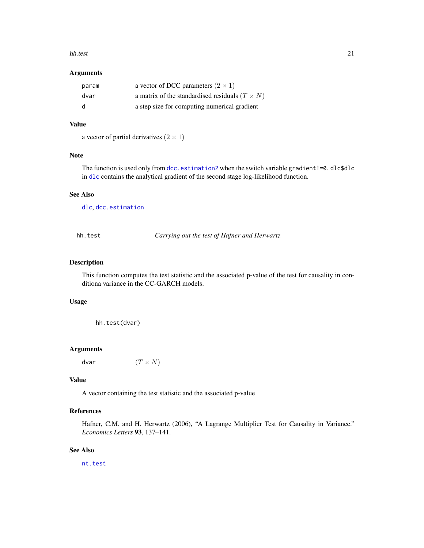#### <span id="page-20-0"></span>hh.test 21

## Arguments

| param | a vector of DCC parameters $(2 \times 1)$             |
|-------|-------------------------------------------------------|
| dvar  | a matrix of the standardised residuals $(T \times N)$ |
| d     | a step size for computing numerical gradient          |

#### Value

```
a vector of partial derivatives (2 \times 1)
```
# Note

The function is used only from [dcc.estimation2](#page-8-1) when the switch variable gradient!=0. dlc\$dlc in [dlc](#page-11-1) contains the analytical gradient of the second stage log-likelihood function.

# See Also

[dlc](#page-11-1), [dcc.estimation](#page-5-1)

<span id="page-20-1"></span>hh.test *Carrying out the test of Hafner and Herwartz*

# Description

This function computes the test statistic and the associated p-value of the test for causality in conditiona variance in the CC-GARCH models.

# Usage

hh.test(dvar)

#### Arguments

dvar  $(T \times N)$ 

# Value

A vector containing the test statistic and the associated p-value

# References

Hafner, C.M. and H. Herwartz (2006), "A Lagrange Multiplier Test for Causality in Variance." *Economics Letters* 93, 137–141.

# See Also

[nt.test](#page-26-1)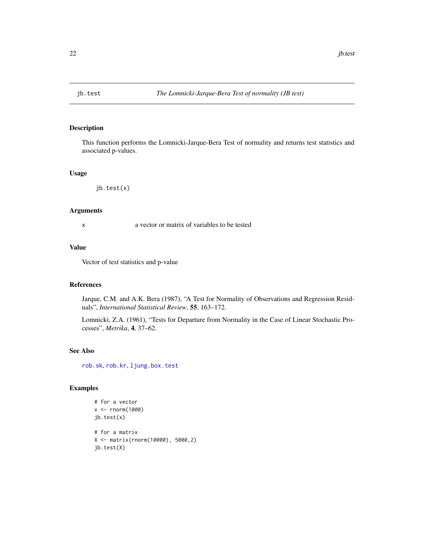<span id="page-21-1"></span><span id="page-21-0"></span>

This function performs the Lomnicki-Jarque-Bera Test of normality and returns test statistics and associated p-values.

#### Usage

jb.test(x)

# Arguments

x a vector or matrix of variables to be tested

# Value

Vector of test statistics and p-value

#### References

Jarque, C.M. and A.K. Bera (1987), "A Test for Normality of Observations and Regression Residuals", *International Statistical Review*, 55, 163–172.

Lomnicki, Z.A. (1961), "Tests for Departure from Normality in the Case of Linear Stochastic Processes", *Metrika*, 4, 37–62.

# See Also

[rob.sk](#page-29-2), [rob.kr](#page-28-1), [ljung.box.test](#page-22-1)

```
# for a vector
x <- rnorm(1000)
jb.test(x)
# for a matrix
X <- matrix(rnorm(10000), 5000,2)
jb.test(X)
```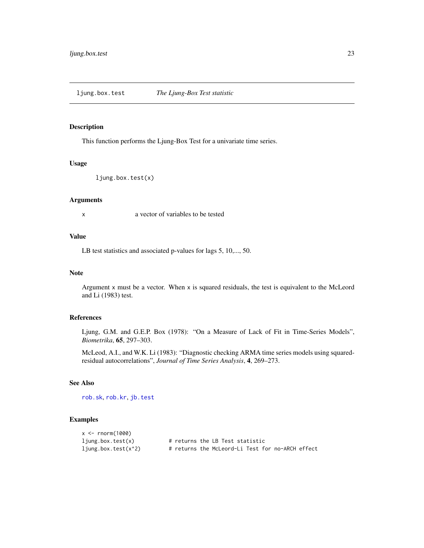<span id="page-22-1"></span><span id="page-22-0"></span>ljung.box.test *The Ljung-Box Test statistic*

#### Description

This function performs the Ljung-Box Test for a univariate time series.

# Usage

ljung.box.test(x)

#### Arguments

x a vector of variables to be tested

# Value

LB test statistics and associated p-values for lags 5, 10,..., 50.

#### Note

Argument x must be a vector. When x is squared residuals, the test is equivalent to the McLeord and Li (1983) test.

#### References

Ljung, G.M. and G.E.P. Box (1978): "On a Measure of Lack of Fit in Time-Series Models", *Biometrika*, 65, 297–303.

McLeod, A.I., and W.K. Li (1983): "Diagnostic checking ARMA time series models using squaredresidual autocorrelations", *Journal of Time Series Analysis*, 4, 269–273.

#### See Also

[rob.sk](#page-29-2), [rob.kr](#page-28-1), [jb.test](#page-21-1)

| $x \le$ rnorm(1000)     |                                                  |
|-------------------------|--------------------------------------------------|
| $l$ jung.box.test $(x)$ | # returns the LB Test statistic                  |
| $1$ jung.box.test(x^2)  | # returns the McLeord-Li Test for no-ARCH effect |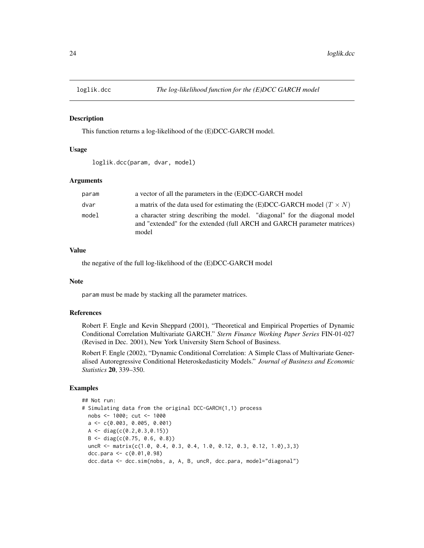<span id="page-23-0"></span>

This function returns a log-likelihood of the (E)DCC-GARCH model.

#### Usage

```
loglik.dcc(param, dvar, model)
```
#### Arguments

| param | a vector of all the parameters in the (E)DCC-GARCH model                                                                                                        |
|-------|-----------------------------------------------------------------------------------------------------------------------------------------------------------------|
| dvar  | a matrix of the data used for estimating the (E)DCC-GARCH model $(T \times N)$                                                                                  |
| model | a character string describing the model. "diagonal" for the diagonal model<br>and "extended" for the extended (full ARCH and GARCH parameter matrices)<br>model |

# Value

the negative of the full log-likelihood of the (E)DCC-GARCH model

# Note

param must be made by stacking all the parameter matrices.

# References

Robert F. Engle and Kevin Sheppard (2001), "Theoretical and Empirical Properties of Dynamic Conditional Correlation Multivariate GARCH." *Stern Finance Working Paper Series* FIN-01-027 (Revised in Dec. 2001), New York University Stern School of Business.

Robert F. Engle (2002), "Dynamic Conditional Correlation: A Simple Class of Multivariate Generalised Autoregressive Conditional Heteroskedasticity Models." *Journal of Business and Economic Statistics* 20, 339–350.

```
## Not run:
# Simulating data from the original DCC-GARCH(1,1) process
 nobs <- 1000; cut <- 1000
 a \leftarrow c(0.003, 0.005, 0.001)A <- diag(c(0.2,0.3,0.15))
 B \leftarrow diag(c(0.75, 0.6, 0.8))uncR <- matrix(c(1.0, 0.4, 0.3, 0.4, 1.0, 0.12, 0.3, 0.12, 1.0),3,3)
 dcc.para <- c(0.01,0.98)
 dcc.data <- dcc.sim(nobs, a, A, B, uncR, dcc.para, model="diagonal")
```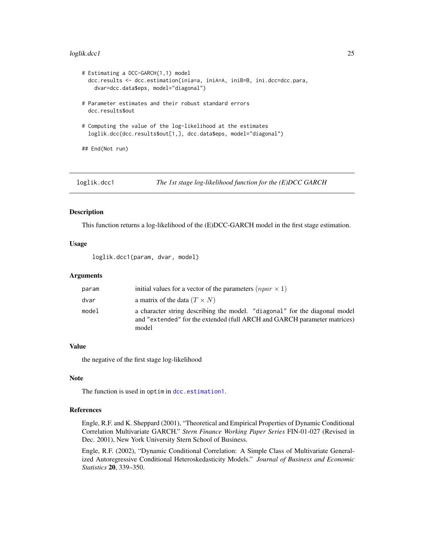#### <span id="page-24-0"></span>loglik.dcc1 25

```
# Estimating a DCC-GARCH(1,1) model
 dcc.results <- dcc.estimation(inia=a, iniA=A, iniB=B, ini.dcc=dcc.para,
   dvar=dcc.data$eps, model="diagonal")
# Parameter estimates and their robust standard errors
 dcc.results$out
# Computing the value of the log-likelihood at the estimates
 loglik.dcc(dcc.results$out[1,], dcc.data$eps, model="diagonal")
## End(Not run)
```
loglik.dcc1 *The 1st stage log-likelihood function for the (E)DCC GARCH*

#### Description

This function returns a log-likelihood of the (E)DCC-GARCH model in the first stage estimation.

# Usage

loglik.dcc1(param, dvar, model)

#### Arguments

| param | initial values for a vector of the parameters $(npar \times 1)$                                                                                                 |
|-------|-----------------------------------------------------------------------------------------------------------------------------------------------------------------|
| dvar  | a matrix of the data $(T \times N)$                                                                                                                             |
| model | a character string describing the model. "diagonal" for the diagonal model<br>and "extended" for the extended (full ARCH and GARCH parameter matrices)<br>model |

#### Value

the negative of the first stage log-likelihood

#### Note

The function is used in optim in [dcc.estimation1](#page-6-1).

# References

Engle, R.F. and K. Sheppard (2001), "Theoretical and Empirical Properties of Dynamic Conditional Correlation Multivariate GARCH." *Stern Finance Working Paper Series* FIN-01-027 (Revised in Dec. 2001), New York University Stern School of Business.

Engle, R.F. (2002), "Dynamic Conditional Correlation: A Simple Class of Multivariate Generalized Autoregressive Conditional Heteroskedasticity Models." *Journal of Business and Economic Statistics* 20, 339–350.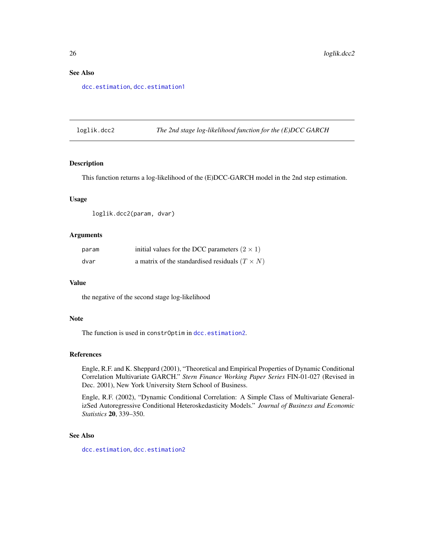# <span id="page-25-0"></span>See Also

[dcc.estimation](#page-5-1), [dcc.estimation1](#page-6-1)

loglik.dcc2 *The 2nd stage log-likelihood function for the (E)DCC GARCH*

#### Description

This function returns a log-likelihood of the (E)DCC-GARCH model in the 2nd step estimation.

#### Usage

loglik.dcc2(param, dvar)

#### **Arguments**

| param | initial values for the DCC parameters $(2 \times 1)$  |
|-------|-------------------------------------------------------|
| dvar  | a matrix of the standardised residuals $(T \times N)$ |

#### Value

the negative of the second stage log-likelihood

# Note

The function is used in constrOptim in [dcc.estimation2](#page-8-1).

# References

Engle, R.F. and K. Sheppard (2001), "Theoretical and Empirical Properties of Dynamic Conditional Correlation Multivariate GARCH." *Stern Finance Working Paper Series* FIN-01-027 (Revised in Dec. 2001), New York University Stern School of Business.

Engle, R.F. (2002), "Dynamic Conditional Correlation: A Simple Class of Multivariate GeneralizSed Autoregressive Conditional Heteroskedasticity Models." *Journal of Business and Economic Statistics* 20, 339–350.

#### See Also

[dcc.estimation](#page-5-1), [dcc.estimation2](#page-8-1)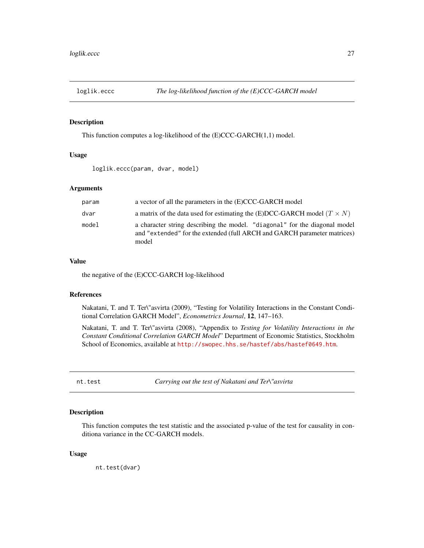<span id="page-26-0"></span>

This function computes a log-likelihood of the (E)CCC-GARCH(1,1) model.

#### Usage

loglik.eccc(param, dvar, model)

#### Arguments

| param | a vector of all the parameters in the (E)CCC-GARCH model                                                                                                        |
|-------|-----------------------------------------------------------------------------------------------------------------------------------------------------------------|
| dvar  | a matrix of the data used for estimating the (E)DCC-GARCH model ( $T \times N$ )                                                                                |
| model | a character string describing the model. "diagonal" for the diagonal model<br>and "extended" for the extended (full ARCH and GARCH parameter matrices)<br>model |

#### Value

the negative of the (E)CCC-GARCH log-likelihood

# References

Nakatani, T. and T. Ter\"asvirta (2009), "Testing for Volatility Interactions in the Constant Conditional Correlation GARCH Model", *Econometrics Journal*, 12, 147–163.

Nakatani, T. and T. Ter\"asvirta (2008), "Appendix to *Testing for Volatility Interactions in the Constant Conditional Correlation GARCH Model*" Department of Economic Statistics, Stockholm School of Economics, available at <http://swopec.hhs.se/hastef/abs/hastef0649.htm>.

<span id="page-26-1"></span>nt.test *Carrying out the test of Nakatani and Ter\"asvirta*

#### Description

This function computes the test statistic and the associated p-value of the test for causality in conditiona variance in the CC-GARCH models.

# Usage

nt.test(dvar)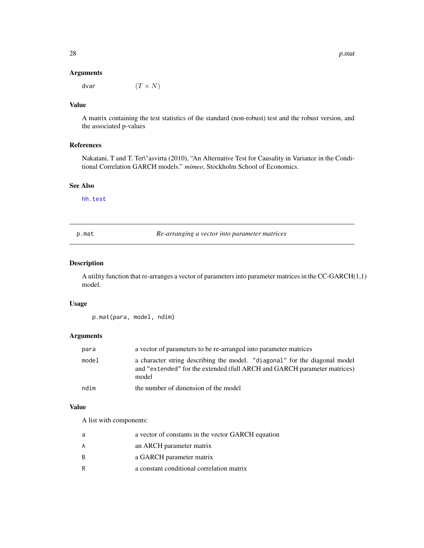#### Arguments

dvar  $(T \times N)$ 

# Value

A matrix containing the test statistics of the standard (non-robust) test and the robust version, and the associated p-values

#### References

Nakatani, T and T. Ter\"asvirta (2010), "An Alternative Test for Causality in Variance in the Conditional Correlation GARCH models." *mimeo*, Stockholm School of Economics.

#### See Also

[hh.test](#page-20-1)

p.mat *Re-arranging a vector into parameter matrices*

#### Description

A utility function that re-arranges a vector of parameters into parameter matrices in the CC-GARCH(1,1) model.

# Usage

p.mat(para, model, ndim)

# Arguments

| para  | a vector of parameters to be re-arranged into parameter matrices                                                                                                |
|-------|-----------------------------------------------------------------------------------------------------------------------------------------------------------------|
| model | a character string describing the model. "diagonal" for the diagonal model<br>and "extended" for the extended (full ARCH and GARCH parameter matrices)<br>model |
| ndim  | the number of dimension of the model                                                                                                                            |

#### Value

A list with components:

| a | a vector of constants in the vector GARCH equation |
|---|----------------------------------------------------|
| А | an ARCH parameter matrix                           |
| R | a GARCH parameter matrix                           |
| R | a constant conditional correlation matrix          |

<span id="page-27-0"></span>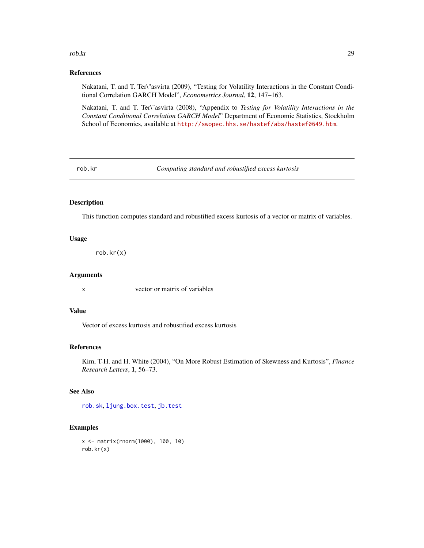#### <span id="page-28-0"></span>rob.kr 29

#### References

Nakatani, T. and T. Ter\"asvirta (2009), "Testing for Volatility Interactions in the Constant Conditional Correlation GARCH Model", *Econometrics Journal*, 12, 147–163.

Nakatani, T. and T. Ter\"asvirta (2008), "Appendix to *Testing for Volatility Interactions in the Constant Conditional Correlation GARCH Model*" Department of Economic Statistics, Stockholm School of Economics, available at <http://swopec.hhs.se/hastef/abs/hastef0649.htm>.

<span id="page-28-1"></span>rob.kr *Computing standard and robustified excess kurtosis*

# Description

This function computes standard and robustified excess kurtosis of a vector or matrix of variables.

#### Usage

rob.kr(x)

#### Arguments

x vector or matrix of variables

#### Value

Vector of excess kurtosis and robustified excess kurtosis

#### References

Kim, T-H. and H. White (2004), "On More Robust Estimation of Skewness and Kurtosis", *Finance Research Letters*, 1, 56–73.

# See Also

[rob.sk](#page-29-2), [ljung.box.test](#page-22-1), [jb.test](#page-21-1)

```
x <- matrix(rnorm(1000), 100, 10)
rob.kr(x)
```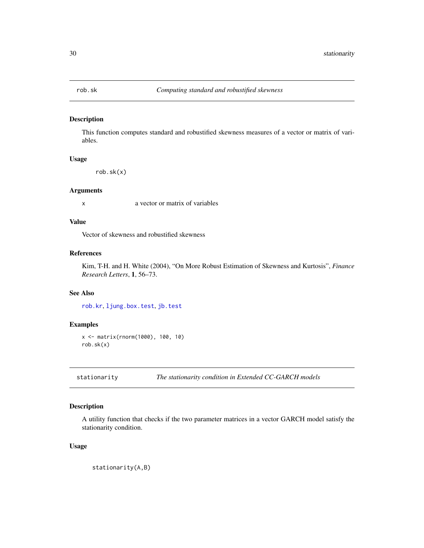<span id="page-29-2"></span><span id="page-29-0"></span>

This function computes standard and robustified skewness measures of a vector or matrix of variables.

# Usage

rob.sk(x)

# Arguments

x a vector or matrix of variables

# Value

Vector of skewness and robustified skewness

# References

Kim, T-H. and H. White (2004), "On More Robust Estimation of Skewness and Kurtosis", *Finance Research Letters*, 1, 56–73.

# See Also

[rob.kr](#page-28-1), [ljung.box.test](#page-22-1), [jb.test](#page-21-1)

#### Examples

```
x <- matrix(rnorm(1000), 100, 10)
rob.sk(x)
```
<span id="page-29-1"></span>stationarity *The stationarity condition in Extended CC-GARCH models*

# Description

A utility function that checks if the two parameter matrices in a vector GARCH model satisfy the stationarity condition.

# Usage

stationarity(A,B)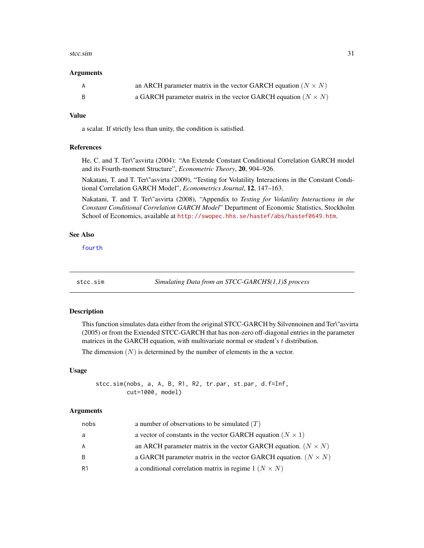#### <span id="page-30-0"></span>stcc.sim 31

#### **Arguments**

| A | an ARCH parameter matrix in the vector GARCH equation $(N \times N)$ |
|---|----------------------------------------------------------------------|
|   | a GARCH parameter matrix in the vector GARCH equation $(N \times N)$ |

# Value

a scalar. If strictly less than unity, the condition is satisfied.

# References

He, C. and T. Ter\"asvirta (2004): "An Extende Constant Conditional Correlation GARCH model and its Fourth-moment Structure", *Econometric Theory*, 20, 904–926.

Nakatani, T. and T. Ter\"asvirta (2009), "Testing for Volatility Interactions in the Constant Conditional Correlation GARCH Model", *Econometrics Journal*, 12, 147–163.

Nakatani, T. and T. Ter\"asvirta (2008), "Appendix to *Testing for Volatility Interactions in the Constant Conditional Correlation GARCH Model*" Department of Economic Statistics, Stockholm School of Economics, available at <http://swopec.hhs.se/hastef/abs/hastef0649.htm>.

#### See Also

[fourth](#page-18-1)

<span id="page-30-1"></span>stcc.sim *Simulating Data from an STCC-GARCH\$(1,1)\$ process*

#### Description

This function simulates data either from the original STCC-GARCH by Silvennoinen and Ter\"asvirta (2005) or from the Extended STCC-GARCH that has non-zero off-diagonal entries in the parameter matrices in the GARCH equation, with multivariate normal or student's  $t$  distribution.

The dimension  $(N)$  is determined by the number of elements in the a vector.

#### Usage

stcc.sim(nobs, a, A, B, R1, R2, tr.par, st.par, d.f=Inf, cut=1000, model)

#### Arguments

| nobs | a number of observations to be simulated $(T)$                        |
|------|-----------------------------------------------------------------------|
| a    | a vector of constants in the vector GARCH equation ( $N \times 1$ )   |
| A    | an ARCH parameter matrix in the vector GARCH equation. $(N \times N)$ |
| B.   | a GARCH parameter matrix in the vector GARCH equation. $(N \times N)$ |
| R1   | a conditional correlation matrix in regime $1 (N \times N)$           |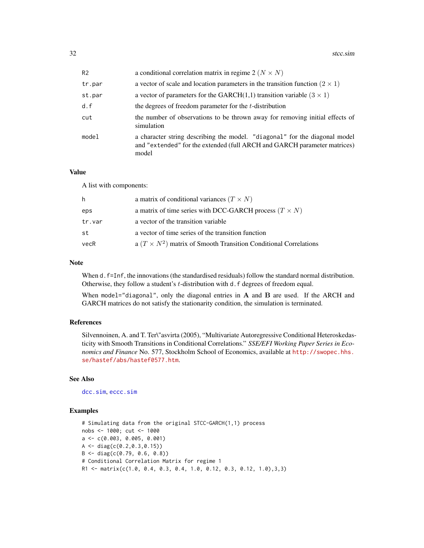<span id="page-31-0"></span>

| R <sub>2</sub> | a conditional correlation matrix in regime 2 ( $N \times N$ )                                                                                                   |
|----------------|-----------------------------------------------------------------------------------------------------------------------------------------------------------------|
| tr.par         | a vector of scale and location parameters in the transition function $(2 \times 1)$                                                                             |
| st.par         | a vector of parameters for the GARCH $(1,1)$ transition variable $(3 \times 1)$                                                                                 |
| d.f            | the degrees of freedom parameter for the t-distribution                                                                                                         |
| cut            | the number of observations to be thrown away for removing initial effects of<br>simulation                                                                      |
| model          | a character string describing the model. "diagonal" for the diagonal model<br>and "extended" for the extended (full ARCH and GARCH parameter matrices)<br>model |

#### Value

A list with components:

| h      | a matrix of conditional variances $(T \times N)$                        |
|--------|-------------------------------------------------------------------------|
| eps    | a matrix of time series with DCC-GARCH process $(T \times N)$           |
| tr.var | a vector of the transition variable                                     |
| st     | a vector of time series of the transition function                      |
| vecR   | a $(T \times N^2)$ matrix of Smooth Transition Conditional Correlations |

#### Note

When d. f=Inf, the innovations (the standardised residuals) follow the standard normal distribution. Otherwise, they follow a student's *t*-distribution with d. f degrees of freedom equal.

When model="diagonal", only the diagonal entries in  $A$  and  $B$  are used. If the ARCH and GARCH matrices do not satisfy the stationarity condition, the simulation is terminated.

#### References

Silvennoinen, A. and T. Ter\"asvirta (2005), "Multivariate Autoregressive Conditional Heteroskedasticity with Smooth Transitions in Conditional Correlations." *SSE/EFI Working Paper Series in Economics and Finance* No. 577, Stockholm School of Economics, available at [http://swopec.hhs.](http://swopec.hhs.se/hastef/abs/hastef0577.htm) [se/hastef/abs/hastef0577.htm](http://swopec.hhs.se/hastef/abs/hastef0577.htm).

# See Also

[dcc.sim](#page-10-1), [eccc.sim](#page-16-1)

```
# Simulating data from the original STCC-GARCH(1,1) process
nobs <- 1000; cut <- 1000
a <- c(0.003, 0.005, 0.001)
A \leftarrow diag(c(0.2, 0.3, 0.15))B <- diag(c(0.79, 0.6, 0.8))
# Conditional Correlation Matrix for regime 1
R1 <- matrix(c(1.0, 0.4, 0.3, 0.4, 1.0, 0.12, 0.3, 0.12, 1.0),3,3)
```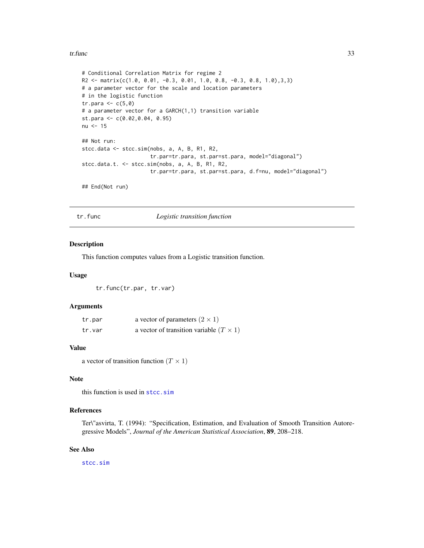#### <span id="page-32-0"></span>tr.func 33

```
# Conditional Correlation Matrix for regime 2
R2 \leq - matrix(c(1.0, 0.01, -0.3, 0.01, 1.0, 0.8, -0.3, 0.8, 1.0),3,3)
# a parameter vector for the scale and location parameters
# in the logistic function
tr.para \leq c(5,0)# a parameter vector for a GARCH(1,1) transition variable
st.para <- c(0.02,0.04, 0.95)
nu <- 15
## Not run:
stcc.data <- stcc.sim(nobs, a, A, B, R1, R2,
                      tr.par=tr.para, st.par=st.para, model="diagonal")
stcc.data.t. <- stcc.sim(nobs, a, A, B, R1, R2,
                      tr.par=tr.para, st.par=st.para, d.f=nu, model="diagonal")
## End(Not run)
```
tr.func *Logistic transition function*

#### Description

This function computes values from a Logistic transition function.

#### Usage

tr.func(tr.par, tr.var)

#### Arguments

| tr.par | a vector of parameters $(2 \times 1)$          |
|--------|------------------------------------------------|
| tr.var | a vector of transition variable $(T \times 1)$ |

# Value

```
a vector of transition function (T \times 1)
```
#### Note

this function is used in [stcc.sim](#page-30-1)

# References

Ter\"asvirta, T. (1994): "Specification, Estimation, and Evaluation of Smooth Transition Autoregressive Models", *Journal of the American Statistical Association*, 89, 208–218.

# See Also

[stcc.sim](#page-30-1)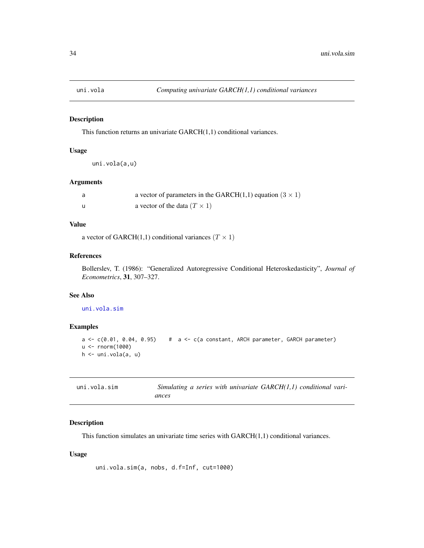<span id="page-33-2"></span><span id="page-33-0"></span>

This function returns an univariate GARCH(1,1) conditional variances.

#### Usage

uni.vola(a,u)

# Arguments

| a vector of parameters in the GARCH $(1,1)$ equation $(3 \times 1)$ |
|---------------------------------------------------------------------|
| a vector of the data $(T \times 1)$                                 |

# Value

a vector of GARCH(1,1) conditional variances ( $T \times 1$ )

# References

Bollerslev, T. (1986): "Generalized Autoregressive Conditional Heteroskedasticity", *Journal of Econometrics*, 31, 307–327.

#### See Also

[uni.vola.sim](#page-33-1)

### Examples

```
a \leq c(0.01, 0.04, 0.95) # a \leq c(a \text{ constant}, ARCH parameter, GARCH parameter)u <- rnorm(1000)
h <- uni.vola(a, u)
```
<span id="page-33-1"></span>

| uni.vola.sim | Simulating a series with univariate $GARCH(1,1)$ conditional vari- |
|--------------|--------------------------------------------------------------------|
|              | ances                                                              |

# Description

This function simulates an univariate time series with GARCH(1,1) conditional variances.

#### Usage

```
uni.vola.sim(a, nobs, d.f=Inf, cut=1000)
```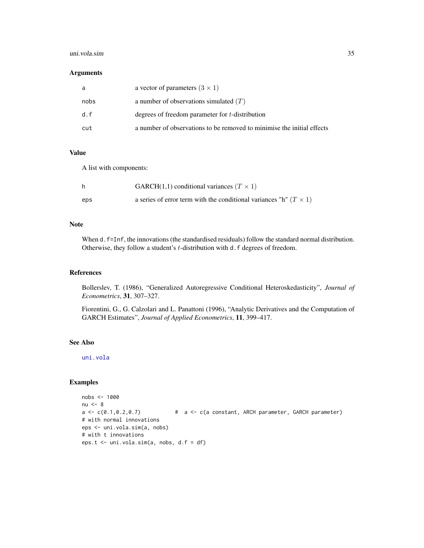#### <span id="page-34-0"></span>uni.vola.sim 35

#### Arguments

| a    | a vector of parameters $(3 \times 1)$                                  |
|------|------------------------------------------------------------------------|
| nobs | a number of observations simulated $(T)$                               |
| d.f  | degrees of freedom parameter for t-distribution                        |
| cut  | a number of observations to be removed to minimise the initial effects |

# Value

A list with components:

|     | GARCH $(1,1)$ conditional variances $(T \times 1)$                         |
|-----|----------------------------------------------------------------------------|
| eps | a series of error term with the conditional variances "h" ( $T \times 1$ ) |

# Note

When d. f=Inf, the innovations (the standardised residuals) follow the standard normal distribution. Otherwise, they follow a student's *t*-distribution with d.f degrees of freedom.

# References

Bollerslev, T. (1986), "Generalized Autoregressive Conditional Heteroskedasticity", *Journal of Econometrics*, 31, 307–327.

Fiorentini, G., G. Calzolari and L. Panattoni (1996), "Analytic Derivatives and the Computation of GARCH Estimates", *Journal of Applied Econometrics*, 11, 399–417.

# See Also

[uni.vola](#page-33-2)

```
nobs <- 1000
nu <- 8
a \leq c(0.1, 0.2, 0.7) # a \leq c(a \text{ constant}, ARCH parameter, GARCH parameter)# with normal innovations
eps <- uni.vola.sim(a, nobs)
# with t innovations
eps.t <- uni.vola.sim(a, nobs, d.f = df)
```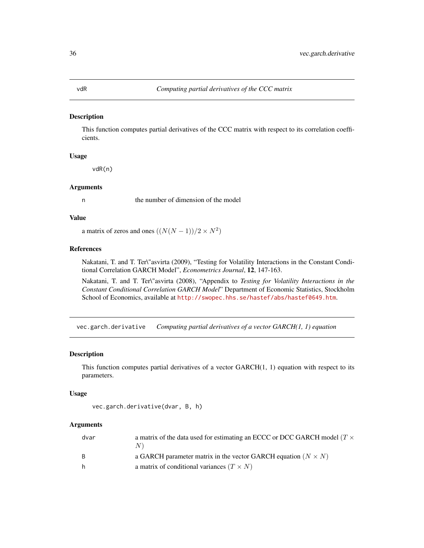This function computes partial derivatives of the CCC matrix with respect to its correlation coefficients.

# Usage

vdR(n)

#### Arguments

n the number of dimension of the model

# Value

a matrix of zeros and ones  $((N(N-1))/2 \times N^2)$ 

# References

Nakatani, T. and T. Ter\"asvirta (2009), "Testing for Volatility Interactions in the Constant Conditional Correlation GARCH Model", *Econometrics Journal*, 12, 147-163.

Nakatani, T. and T. Ter\"asvirta (2008), "Appendix to *Testing for Volatility Interactions in the Constant Conditional Correlation GARCH Model*" Department of Economic Statistics, Stockholm School of Economics, available at <http://swopec.hhs.se/hastef/abs/hastef0649.htm>.

vec.garch.derivative *Computing partial derivatives of a vector GARCH(1, 1) equation*

# **Description**

This function computes partial derivatives of a vector  $GARCH(1, 1)$  equation with respect to its parameters.

#### Usage

```
vec.garch.derivative(dvar, B, h)
```
# **Arguments**

| dvar | a matrix of the data used for estimating an ECCC or DCC GARCH model ( $T \times$ |
|------|----------------------------------------------------------------------------------|
| B.   | a GARCH parameter matrix in the vector GARCH equation ( $N \times N$ )           |
| h.   | a matrix of conditional variances $(T \times N)$                                 |

<span id="page-35-0"></span>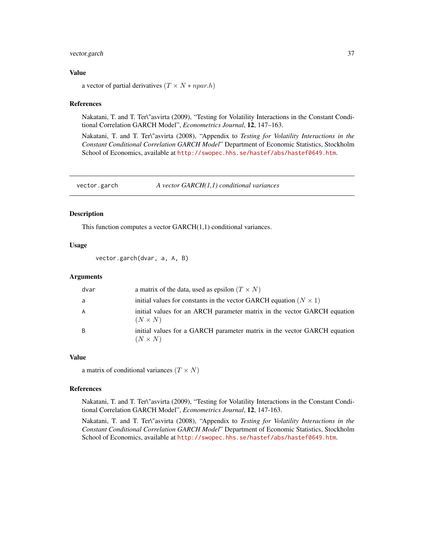# <span id="page-36-0"></span>vector.garch 37

## Value

a vector of partial derivatives  $(T \times N * npar.h)$ 

#### References

Nakatani, T. and T. Ter\"asvirta (2009), "Testing for Volatility Interactions in the Constant Conditional Correlation GARCH Model", *Econometrics Journal*, 12, 147–163.

Nakatani, T. and T. Ter\"asvirta (2008), "Appendix to *Testing for Volatility Interactions in the Constant Conditional Correlation GARCH Model*" Department of Economic Statistics, Stockholm School of Economics, available at <http://swopec.hhs.se/hastef/abs/hastef0649.htm>.

vector.garch *A vector GARCH(1,1) conditional variances*

#### Description

This function computes a vector GARCH(1,1) conditional variances.

#### Usage

vector.garch(dvar, a, A, B)

#### **Arguments**

| dvar | a matrix of the data, used as epsilon $(T \times N)$                                       |
|------|--------------------------------------------------------------------------------------------|
| -a   | initial values for constants in the vector GARCH equation ( $N \times 1$ )                 |
| A    | initial values for an ARCH parameter matrix in the vector GARCH equation<br>$(N \times N)$ |
| B    | initial values for a GARCH parameter matrix in the vector GARCH equation<br>$(N \times N)$ |

#### Value

a matrix of conditional variances  $(T \times N)$ 

#### References

Nakatani, T. and T. Ter\"asvirta (2009), "Testing for Volatility Interactions in the Constant Conditional Correlation GARCH Model", *Econometrics Journal*, 12, 147-163.

Nakatani, T. and T. Ter\"asvirta (2008), "Appendix to *Testing for Volatility Interactions in the Constant Conditional Correlation GARCH Model*" Department of Economic Statistics, Stockholm School of Economics, available at <http://swopec.hhs.se/hastef/abs/hastef0649.htm>.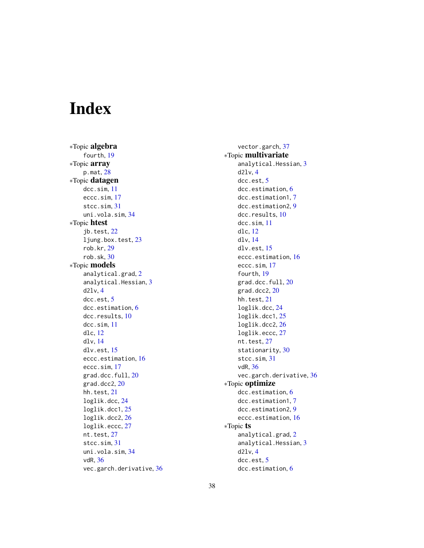# <span id="page-37-0"></span>Index

∗Topic algebra fourth, [19](#page-18-0) ∗Topic array p.mat, [28](#page-27-0) ∗Topic datagen dcc.sim, [11](#page-10-0) eccc.sim, [17](#page-16-0) stcc.sim, [31](#page-30-0) uni.vola.sim, [34](#page-33-0) ∗Topic htest jb.test, [22](#page-21-0) ljung.box.test, [23](#page-22-0) rob.kr, [29](#page-28-0) rob.sk, [30](#page-29-0) ∗Topic models analytical.grad, [2](#page-1-0) analytical.Hessian, [3](#page-2-0) d2lv, [4](#page-3-0) dcc.est, [5](#page-4-0) dcc.estimation, [6](#page-5-0) dcc.results, [10](#page-9-0) dcc.sim, [11](#page-10-0) dlc, [12](#page-11-0) dlv, [14](#page-13-0) dlv.est, [15](#page-14-0) eccc.estimation, [16](#page-15-0) eccc.sim, [17](#page-16-0) grad.dcc.full, [20](#page-19-0) grad.dcc2, [20](#page-19-0) hh.test, [21](#page-20-0) loglik.dcc, [24](#page-23-0) loglik.dcc1, [25](#page-24-0) loglik.dcc2, [26](#page-25-0) loglik.eccc, [27](#page-26-0) nt.test, [27](#page-26-0) stcc.sim, [31](#page-30-0) uni.vola.sim, [34](#page-33-0) vdR, [36](#page-35-0) vec.garch.derivative, [36](#page-35-0)

vector.garch, [37](#page-36-0) ∗Topic multivariate analytical.Hessian, [3](#page-2-0) d2lv, [4](#page-3-0) dcc.est, [5](#page-4-0) dcc.estimation, [6](#page-5-0) dcc.estimation1, [7](#page-6-0) dcc.estimation2, [9](#page-8-0) dcc.results, [10](#page-9-0) dcc.sim, [11](#page-10-0) dlc, [12](#page-11-0) dlv, [14](#page-13-0) dlv.est, [15](#page-14-0) eccc.estimation, [16](#page-15-0) eccc.sim, [17](#page-16-0) fourth, [19](#page-18-0) grad.dcc.full, [20](#page-19-0) grad.dcc2, [20](#page-19-0) hh.test, [21](#page-20-0) loglik.dcc, [24](#page-23-0) loglik.dcc1, [25](#page-24-0) loglik.dcc2, [26](#page-25-0) loglik.eccc, [27](#page-26-0) nt.test, [27](#page-26-0) stationarity, [30](#page-29-0) stcc.sim, [31](#page-30-0) vdR, [36](#page-35-0) vec.garch.derivative, [36](#page-35-0) ∗Topic optimize dcc.estimation, [6](#page-5-0) dcc.estimation1, [7](#page-6-0) dcc.estimation2, [9](#page-8-0) eccc.estimation, [16](#page-15-0) ∗Topic ts analytical.grad, [2](#page-1-0) analytical.Hessian, [3](#page-2-0) d2lv, [4](#page-3-0) dcc.est, [5](#page-4-0) dcc.estimation, [6](#page-5-0)